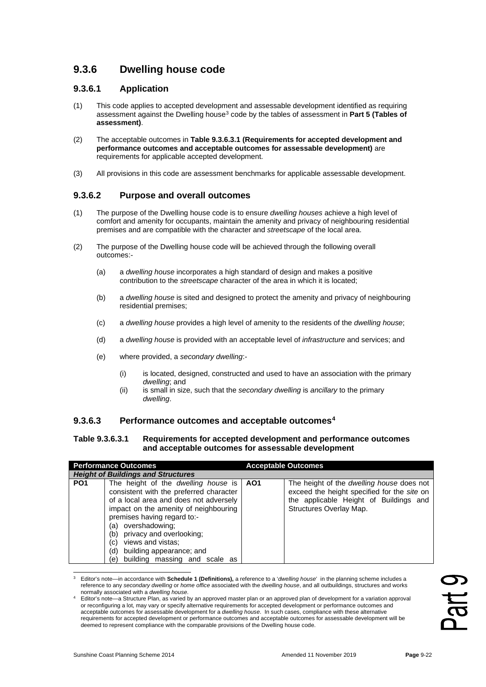# **9.3.6 Dwelling house code**

### **9.3.6.1 Application**

- (1) This code applies to accepted development and assessable development identified as requiring assessment against the Dwelling house<sup>[3](#page-0-0)</sup> code by the tables of assessment in **Part 5 (Tables of assessment)**.
- (2) The acceptable outcomes in **Table 9.3.6.3.1 (Requirements for accepted development and performance outcomes and acceptable outcomes for assessable development)** are requirements for applicable accepted development.
- (3) All provisions in this code are assessment benchmarks for applicable assessable development.

## **9.3.6.2 Purpose and overall outcomes**

- (1) The purpose of the Dwelling house code is to ensure *dwelling houses* achieve a high level of comfort and amenity for occupants, maintain the amenity and privacy of neighbouring residential premises and are compatible with the character and *streetscape* of the local area.
- (2) The purpose of the Dwelling house code will be achieved through the following overall outcomes:-
	- (a) a *dwelling house* incorporates a high standard of design and makes a positive contribution to the *streetscape* character of the area in which it is located;
	- (b) a *dwelling house* is sited and designed to protect the amenity and privacy of neighbouring residential premises;
	- (c) a *dwelling house* provides a high level of amenity to the residents of the *dwelling house*;
	- (d) a *dwelling house* is provided with an acceptable level of *infrastructure* and services; and
	- (e) where provided, a *secondary dwelling*:-
		- (i) is located, designed, constructed and used to have an association with the primary *dwelling*; and
		- (ii) is small in size, such that the *secondary dwelling* is *ancillary* to the primary *dwelling*.

#### **9.3.6.3 Performance outcomes and acceptable outcomes[4](#page-0-1)**

#### **Table 9.3.6.3.1 Requirements for accepted development and performance outcomes and acceptable outcomes for assessable development**

| <b>Performance Outcomes</b> |                                                                                                                                                                                                                                                                                                                                                                     | <b>Acceptable Outcomes</b> |                                                                                                                                                                      |  |
|-----------------------------|---------------------------------------------------------------------------------------------------------------------------------------------------------------------------------------------------------------------------------------------------------------------------------------------------------------------------------------------------------------------|----------------------------|----------------------------------------------------------------------------------------------------------------------------------------------------------------------|--|
|                             | <b>Height of Buildings and Structures</b>                                                                                                                                                                                                                                                                                                                           |                            |                                                                                                                                                                      |  |
| PO <sub>1</sub>             | The height of the <i>dwelling house</i> is<br>consistent with the preferred character<br>of a local area and does not adversely<br>impact on the amenity of neighbouring<br>premises having regard to:-<br>(a) overshadowing;<br>(b) privacy and overlooking;<br>views and vistas;<br>(c)<br>building appearance; and<br>(d)<br>building massing and scale as<br>e) | AO1                        | The height of the <i>dwelling house</i> does not<br>exceed the height specified for the site on<br>the applicable Height of Buildings and<br>Structures Overlay Map. |  |

<span id="page-0-0"></span><sup>3</sup> Editor's note—in accordance with **Schedule 1 (Definitions),** a reference to a '*dwelling house*' in the planning scheme includes a reference to any *secondary dwelling* or *home office* associated with the *dwelling house*, and all outbuildings, structures and works normally associated with a *dwelling house*.

<span id="page-0-1"></span><sup>4</sup> Editor's note—a Structure Plan, as varied by an approved master plan or an approved plan of development for a variation approval or reconfiguring a lot, may vary or specify alternative requirements for accepted development or performance outcomes and acceptable outcomes for assessable development for a *dwelling house*. In such cases, compliance with these alternative requirements for accepted development or performance outcomes and acceptable outcomes for assessable development will be deemed to represent compliance with the comparable provisions of the Dwelling house code.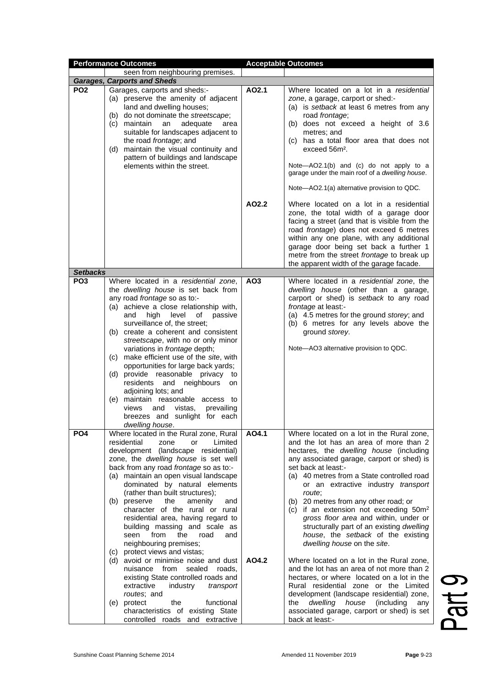|                 | <b>Performance Outcomes</b>                                                                                                                                                                                                                                                                                                                                                                                                                                                                                                                                                                                                                                                                                                                                                                                                    |                 | <b>Acceptable Outcomes</b>                                                                                                                                                                                                                                                                                                                                                                                                                                                                                                                                                                                                                                                                                                                                                                                                                                                        |
|-----------------|--------------------------------------------------------------------------------------------------------------------------------------------------------------------------------------------------------------------------------------------------------------------------------------------------------------------------------------------------------------------------------------------------------------------------------------------------------------------------------------------------------------------------------------------------------------------------------------------------------------------------------------------------------------------------------------------------------------------------------------------------------------------------------------------------------------------------------|-----------------|-----------------------------------------------------------------------------------------------------------------------------------------------------------------------------------------------------------------------------------------------------------------------------------------------------------------------------------------------------------------------------------------------------------------------------------------------------------------------------------------------------------------------------------------------------------------------------------------------------------------------------------------------------------------------------------------------------------------------------------------------------------------------------------------------------------------------------------------------------------------------------------|
|                 | seen from neighbouring premises.                                                                                                                                                                                                                                                                                                                                                                                                                                                                                                                                                                                                                                                                                                                                                                                               |                 |                                                                                                                                                                                                                                                                                                                                                                                                                                                                                                                                                                                                                                                                                                                                                                                                                                                                                   |
|                 | <b>Garages, Carports and Sheds</b>                                                                                                                                                                                                                                                                                                                                                                                                                                                                                                                                                                                                                                                                                                                                                                                             |                 |                                                                                                                                                                                                                                                                                                                                                                                                                                                                                                                                                                                                                                                                                                                                                                                                                                                                                   |
| PO <sub>2</sub> | Garages, carports and sheds:-<br>(a) preserve the amenity of adjacent<br>land and dwelling houses;<br>(b) do not dominate the streetscape;<br>(c) maintain<br>an<br>adequate<br>area<br>suitable for landscapes adjacent to<br>the road frontage; and<br>(d) maintain the visual continuity and<br>pattern of buildings and landscape<br>elements within the street.                                                                                                                                                                                                                                                                                                                                                                                                                                                           | AO2.1           | Where located on a lot in a residential<br>zone, a garage, carport or shed:-<br>(a) is setback at least 6 metres from any<br>road frontage;<br>(b) does not exceed a height of 3.6<br>metres; and<br>(c) has a total floor area that does not<br>exceed 56m <sup>2</sup> .<br>Note-AO2.1(b) and (c) do not apply to a<br>garage under the main roof of a dwelling house.<br>Note-AO2.1(a) alternative provision to QDC.                                                                                                                                                                                                                                                                                                                                                                                                                                                           |
| <b>Setbacks</b> |                                                                                                                                                                                                                                                                                                                                                                                                                                                                                                                                                                                                                                                                                                                                                                                                                                | AO2.2           | Where located on a lot in a residential<br>zone, the total width of a garage door<br>facing a street (and that is visible from the<br>road frontage) does not exceed 6 metres<br>within any one plane, with any additional<br>garage door being set back a further 1<br>metre from the street frontage to break up<br>the apparent width of the garage facade.                                                                                                                                                                                                                                                                                                                                                                                                                                                                                                                    |
| PO <sub>3</sub> | Where located in a residential zone,                                                                                                                                                                                                                                                                                                                                                                                                                                                                                                                                                                                                                                                                                                                                                                                           | AO <sub>3</sub> | Where located in a residential zone, the                                                                                                                                                                                                                                                                                                                                                                                                                                                                                                                                                                                                                                                                                                                                                                                                                                          |
|                 | the <i>dwelling house</i> is set back from<br>any road frontage so as to:-<br>(a) achieve a close relationship with,<br>level<br>and<br>high<br>of<br>passive<br>surveillance of, the street;<br>(b) create a coherent and consistent<br>streetscape, with no or only minor<br>variations in <i>frontage</i> depth;<br>(c) make efficient use of the site, with<br>opportunities for large back yards;<br>(d) provide reasonable privacy<br>to<br>residents and<br>neighbours<br>on<br>adjoining lots; and<br>(e) maintain reasonable access to<br>views<br>and vistas,<br>prevailing<br>breezes and sunlight for each<br>dwelling house.                                                                                                                                                                                      |                 | dwelling house (other than a garage,<br>carport or shed) is setback to any road<br>frontage at least:-<br>(a) 4.5 metres for the ground storey; and<br>(b) 6 metres for any levels above the<br>ground storey.<br>Note-AO3 alternative provision to QDC.                                                                                                                                                                                                                                                                                                                                                                                                                                                                                                                                                                                                                          |
| PO <sub>4</sub> | Where located in the Rural zone, Rural<br>residential<br>Limited<br>zone<br>or<br>development (landscape residential)<br>zone, the dwelling house is set well<br>back from any road frontage so as to:-<br>(a) maintain an open visual landscape<br>dominated by natural elements<br>(rather than built structures);<br>(b) preserve<br>the<br>amenity<br>and<br>character of the rural or rural<br>residential area, having regard to<br>building massing and scale as<br>from<br>the<br>seen<br>road<br>and<br>neighbouring premises;<br>(c) protect views and vistas;<br>(d) avoid or minimise noise and dust<br>sealed<br>nuisance<br>from<br>roads.<br>existing State controlled roads and<br>extractive<br>industry<br>transport<br>routes; and<br>functional<br>(e) protect<br>the<br>characteristics of existing State | AO4.1<br>AO4.2  | Where located on a lot in the Rural zone,<br>and the lot has an area of more than 2<br>hectares, the dwelling house (including<br>any associated garage, carport or shed) is<br>set back at least:-<br>(a) 40 metres from a State controlled road<br>or an extractive industry transport<br>route:<br>(b) 20 metres from any other road; or<br>(c) if an extension not exceeding $50m^2$<br>gross floor area and within, under or<br>structurally part of an existing dwelling<br>house, the setback of the existing<br>dwelling house on the site.<br>Where located on a lot in the Rural zone,<br>and the lot has an area of not more than 2<br>hectares, or where located on a lot in the<br>Rural residential zone or the Limited<br>development (landscape residential) zone,<br>dwelling<br>house<br>(including<br>the<br>any<br>associated garage, carport or shed) is set |

Part 9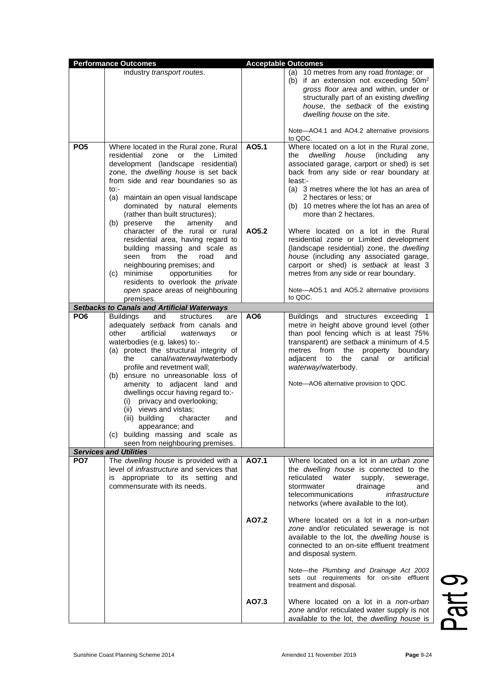| <b>Performance Outcomes</b> |                                                                                                                                                                                                                                                                                                                                                                                                                                                                                                                                                                                                                                                                                          | <b>Acceptable Outcomes</b> |                                                                                                                                                                                                                                                                                                                                                                                                                                                                                                                                                                                                                                                                      |
|-----------------------------|------------------------------------------------------------------------------------------------------------------------------------------------------------------------------------------------------------------------------------------------------------------------------------------------------------------------------------------------------------------------------------------------------------------------------------------------------------------------------------------------------------------------------------------------------------------------------------------------------------------------------------------------------------------------------------------|----------------------------|----------------------------------------------------------------------------------------------------------------------------------------------------------------------------------------------------------------------------------------------------------------------------------------------------------------------------------------------------------------------------------------------------------------------------------------------------------------------------------------------------------------------------------------------------------------------------------------------------------------------------------------------------------------------|
|                             | industry transport routes.                                                                                                                                                                                                                                                                                                                                                                                                                                                                                                                                                                                                                                                               |                            | (a) 10 metres from any road frontage; or<br>(b) if an extension not exceeding 50m <sup>2</sup><br>gross floor area and within, under or<br>structurally part of an existing dwelling<br>house, the setback of the existing<br>dwelling house on the site.<br>Note-AO4.1 and AO4.2 alternative provisions                                                                                                                                                                                                                                                                                                                                                             |
|                             |                                                                                                                                                                                                                                                                                                                                                                                                                                                                                                                                                                                                                                                                                          |                            | to QDC.                                                                                                                                                                                                                                                                                                                                                                                                                                                                                                                                                                                                                                                              |
| PO <sub>5</sub>             | Where located in the Rural zone, Rural<br>residential<br>zone<br>the<br>Limited<br>or<br>development (landscape residential)<br>zone, the dwelling house is set back<br>from side and rear boundaries so as<br>$to$ :-<br>(a) maintain an open visual landscape<br>dominated by natural elements<br>(rather than built structures);<br>the<br>amenity<br>(b) preserve<br>and<br>character of the rural or rural<br>residential area, having regard to<br>building massing and scale as<br>from<br>seen<br>the<br>road<br>and<br>neighbouring premises; and<br>(c) minimise<br>opportunities<br>for<br>residents to overlook the private<br>open space areas of neighbouring<br>premises. | A05.1<br>A05.2             | Where located on a lot in the Rural zone,<br>dwelling<br>house<br>(including<br>the<br>any<br>associated garage, carport or shed) is set<br>back from any side or rear boundary at<br>least:-<br>(a) 3 metres where the lot has an area of<br>2 hectares or less; or<br>(b) 10 metres where the lot has an area of<br>more than 2 hectares.<br>Where located on a lot in the Rural<br>residential zone or Limited development<br>(landscape residential) zone, the dwelling<br>house (including any associated garage,<br>carport or shed) is setback at least 3<br>metres from any side or rear boundary.<br>Note-AO5.1 and AO5.2 alternative provisions<br>to QDC. |
|                             | <b>Setbacks to Canals and Artificial Waterways</b>                                                                                                                                                                                                                                                                                                                                                                                                                                                                                                                                                                                                                                       |                            |                                                                                                                                                                                                                                                                                                                                                                                                                                                                                                                                                                                                                                                                      |
| PO <sub>6</sub>             | <b>Buildings</b><br>and<br>structures<br>are<br>adequately setback from canals and<br>other<br>artificial<br>waterways<br>or<br>waterbodies (e.g. lakes) to:-<br>(a) protect the structural integrity of<br>canal/waterway/waterbody<br>the<br>profile and revetment wall;<br>(b) ensure no unreasonable loss of<br>amenity to adjacent land and<br>dwellings occur having regard to:-<br>privacy and overlooking;<br>(i)<br>(ii) views and vistas;<br>(iii) building<br>character<br>and<br>appearance; and<br>(c) building massing and scale as<br>seen from neighbouring premises.                                                                                                    | AO <sub>6</sub>            | Buildings and structures exceeding 1<br>metre in height above ground level (other<br>than pool fencing which is at least 75%<br>transparent) are setback a minimum of 4.5<br>metres from<br>the<br>property<br>boundary<br>canal or artificial<br>the<br>adjacent to<br>waterway/waterbody.<br>Note-AO6 alternative provision to QDC.                                                                                                                                                                                                                                                                                                                                |
|                             | <b>Services and Utilities</b>                                                                                                                                                                                                                                                                                                                                                                                                                                                                                                                                                                                                                                                            |                            |                                                                                                                                                                                                                                                                                                                                                                                                                                                                                                                                                                                                                                                                      |
| PO <sub>7</sub>             | The dwelling house is provided with a<br>level of <i>infrastructure</i> and services that<br>appropriate to its setting<br>and<br>IS<br>commensurate with its needs.                                                                                                                                                                                                                                                                                                                                                                                                                                                                                                                     | AO7.1                      | Where located on a lot in an urban zone<br>the <i>dwelling</i> house is connected to the<br>reticulated<br>water<br>supply,<br>sewerage,<br>stormwater<br>drainage<br>and<br>telecommunications<br>infrastructure<br>networks (where available to the lot).                                                                                                                                                                                                                                                                                                                                                                                                          |
|                             |                                                                                                                                                                                                                                                                                                                                                                                                                                                                                                                                                                                                                                                                                          | A07.2                      | Where located on a lot in a non-urban<br>zone and/or reticulated sewerage is not<br>available to the lot, the dwelling house is<br>connected to an on-site effluent treatment<br>and disposal system.<br>Note-the Plumbing and Drainage Act 2003<br>sets out requirements for on-site effluent<br>treatment and disposal.                                                                                                                                                                                                                                                                                                                                            |
|                             |                                                                                                                                                                                                                                                                                                                                                                                                                                                                                                                                                                                                                                                                                          | AO7.3                      | Where located on a lot in a non-urban<br>zone and/or reticulated water supply is not<br>available to the lot, the dwelling house is                                                                                                                                                                                                                                                                                                                                                                                                                                                                                                                                  |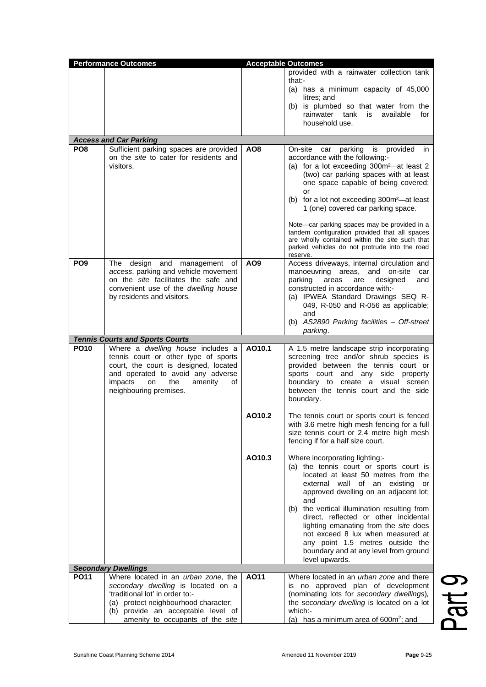|                 |                                                                                  |                 | provided with a rainwater collection tank                                                                                |
|-----------------|----------------------------------------------------------------------------------|-----------------|--------------------------------------------------------------------------------------------------------------------------|
|                 |                                                                                  |                 |                                                                                                                          |
|                 |                                                                                  |                 | that:-<br>(a) has a minimum capacity of 45,000                                                                           |
|                 |                                                                                  |                 | litres; and                                                                                                              |
|                 |                                                                                  |                 | (b) is plumbed so that water from the                                                                                    |
|                 |                                                                                  |                 | rainwater<br>tank<br>available<br>for<br>is<br>household use.                                                            |
|                 |                                                                                  |                 |                                                                                                                          |
|                 | <b>Access and Car Parking</b>                                                    |                 |                                                                                                                          |
| PO <sub>8</sub> | Sufficient parking spaces are provided<br>on the site to cater for residents and | AO <sub>8</sub> | parking<br>is provided<br>On-site<br>car<br>in                                                                           |
|                 | visitors.                                                                        |                 | accordance with the following:-<br>(a) for a lot exceeding 300m <sup>2</sup> -at least 2                                 |
|                 |                                                                                  |                 | (two) car parking spaces with at least                                                                                   |
|                 |                                                                                  |                 | one space capable of being covered;                                                                                      |
|                 |                                                                                  |                 | or<br>(b) for a lot not exceeding 300m <sup>2</sup> -at least                                                            |
|                 |                                                                                  |                 | 1 (one) covered car parking space.                                                                                       |
|                 |                                                                                  |                 |                                                                                                                          |
|                 |                                                                                  |                 | Note-car parking spaces may be provided in a<br>tandem configuration provided that all spaces                            |
|                 |                                                                                  |                 | are wholly contained within the site such that                                                                           |
|                 |                                                                                  |                 | parked vehicles do not protrude into the road<br>reserve.                                                                |
| PO <sub>9</sub> | and<br>The<br>design<br>management of                                            | AO <sub>9</sub> | Access driveways, internal circulation and                                                                               |
|                 | access, parking and vehicle movement                                             |                 | manoeuvring areas,<br>and on-site<br>car                                                                                 |
|                 | on the site facilitates the safe and<br>convenient use of the dwelling house     |                 | parking<br>designed<br>areas<br>are<br>and<br>constructed in accordance with:-                                           |
|                 | by residents and visitors.                                                       |                 | (a) IPWEA Standard Drawings SEQ R-                                                                                       |
|                 |                                                                                  |                 | 049, R-050 and R-056 as applicable;                                                                                      |
|                 |                                                                                  |                 | and                                                                                                                      |
|                 |                                                                                  |                 | (b) AS2890 Parking facilities - Off-street<br>parking.                                                                   |
|                 | <b>Tennis Courts and Sports Courts</b>                                           |                 |                                                                                                                          |
| <b>PO10</b>     | Where a dwelling house includes a                                                | AO10.1          | A 1.5 metre landscape strip incorporating                                                                                |
|                 | tennis court or other type of sports<br>court, the court is designed, located    |                 | screening tree and/or shrub species is<br>provided between the tennis court or                                           |
|                 | and operated to avoid any adverse                                                |                 | sports court and any side property                                                                                       |
|                 | impacts<br>the<br>amenity<br>on<br>οf                                            |                 | boundary to create a visual screen                                                                                       |
|                 | neighbouring premises.                                                           |                 | between the tennis court and the side<br>boundary.                                                                       |
|                 |                                                                                  |                 |                                                                                                                          |
|                 |                                                                                  | AO10.2          | The tennis court or sports court is fenced                                                                               |
|                 |                                                                                  |                 | with 3.6 metre high mesh fencing for a full<br>size tennis court or 2.4 metre high mesh                                  |
|                 |                                                                                  |                 | fencing if for a half size court.                                                                                        |
|                 |                                                                                  |                 |                                                                                                                          |
|                 |                                                                                  | AO10.3          | Where incorporating lighting:-                                                                                           |
|                 |                                                                                  |                 | (a) the tennis court or sports court is<br>located at least 50 metres from the                                           |
|                 |                                                                                  |                 | external wall of an existing or                                                                                          |
|                 |                                                                                  |                 | approved dwelling on an adjacent lot;                                                                                    |
|                 |                                                                                  |                 | and<br>(b) the vertical illumination resulting from                                                                      |
|                 |                                                                                  |                 | direct, reflected or other incidental                                                                                    |
|                 |                                                                                  |                 | lighting emanating from the site does                                                                                    |
|                 |                                                                                  |                 |                                                                                                                          |
|                 |                                                                                  |                 | boundary and at any level from ground                                                                                    |
|                 |                                                                                  |                 | level upwards.                                                                                                           |
|                 |                                                                                  |                 |                                                                                                                          |
|                 | secondary dwelling is located on a                                               |                 | is no approved plan of development                                                                                       |
|                 | 'traditional lot' in order to:-                                                  |                 | (nominating lots for secondary dwellings),                                                                               |
|                 | (a) protect neighbourhood character;                                             |                 | the secondary dwelling is located on a lot<br>which:-                                                                    |
|                 | (b) provide an acceptable level of<br>amenity to occupants of the site           |                 | (a) has a minimum area of $600m^2$ ; and                                                                                 |
| <b>PO11</b>     | <b>Secondary Dwellings</b><br>Where located in an urban zone, the                | A011            | not exceed 8 lux when measured at<br>any point 1.5 metres outside the<br>Where located in an <i>urban zone</i> and there |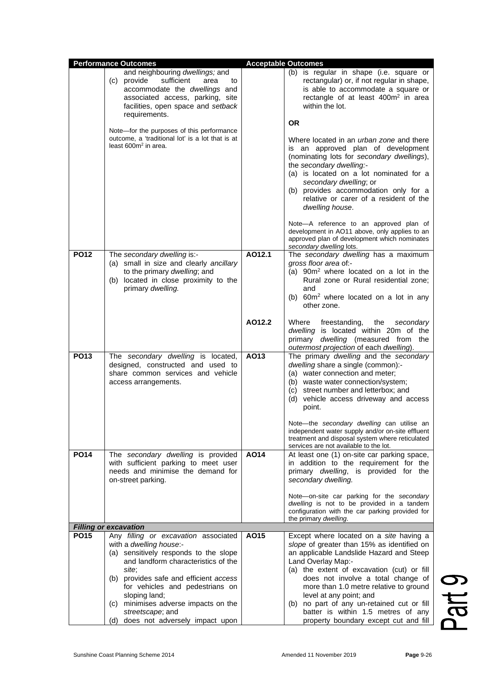|             | <b>Performance Outcomes</b>                                                                                                                                                                                                                                                                                                                              |        | <b>Acceptable Outcomes</b>                                                                                                                                                                                                                                                                                                                                                                                                                    |
|-------------|----------------------------------------------------------------------------------------------------------------------------------------------------------------------------------------------------------------------------------------------------------------------------------------------------------------------------------------------------------|--------|-----------------------------------------------------------------------------------------------------------------------------------------------------------------------------------------------------------------------------------------------------------------------------------------------------------------------------------------------------------------------------------------------------------------------------------------------|
|             | and neighbouring dwellings; and<br>(c) provide<br>sufficient<br>area<br>to<br>accommodate the dwellings and<br>associated access, parking, site<br>facilities, open space and setback<br>requirements.                                                                                                                                                   |        | (b) is regular in shape (i.e. square or<br>rectangular) or, if not regular in shape,<br>is able to accommodate a square or<br>rectangle of at least 400m <sup>2</sup> in area<br>within the lot.                                                                                                                                                                                                                                              |
|             | Note-for the purposes of this performance<br>outcome, a 'traditional lot' is a lot that is at<br>least $600m^2$ in area.                                                                                                                                                                                                                                 |        | <b>OR</b><br>Where located in an <i>urban zone</i> and there<br>is an approved plan of development<br>(nominating lots for secondary dwellings),<br>the secondary dwelling:-<br>(a) is located on a lot nominated for a<br>secondary dwelling; or<br>(b) provides accommodation only for a<br>relative or carer of a resident of the<br>dwelling house.<br>Note-A reference to an approved plan of                                            |
|             |                                                                                                                                                                                                                                                                                                                                                          |        | development in AO11 above, only applies to an<br>approved plan of development which nominates<br>secondary dwelling lots.                                                                                                                                                                                                                                                                                                                     |
| <b>PO12</b> | The secondary dwelling is:-<br>(a) small in size and clearly ancillary<br>to the primary dwelling; and<br>(b) located in close proximity to the<br>primary dwelling.                                                                                                                                                                                     | A012.1 | The secondary dwelling has a maximum<br>gross floor area of:-<br>(a) 90m <sup>2</sup> where located on a lot in the<br>Rural zone or Rural residential zone;<br>and<br>(b) 60m <sup>2</sup> where located on a lot in any<br>other zone.                                                                                                                                                                                                      |
|             |                                                                                                                                                                                                                                                                                                                                                          | AO12.2 | Where<br>freestanding,<br>the<br>secondary<br>dwelling is located within 20m of the<br>primary dwelling (measured from the<br>outermost projection of each dwelling).                                                                                                                                                                                                                                                                         |
| <b>PO13</b> | The secondary dwelling is located,<br>designed, constructed and used to<br>share common services and vehicle<br>access arrangements.                                                                                                                                                                                                                     | AO13   | The primary dwelling and the secondary<br>dwelling share a single (common):-<br>(a) water connection and meter;<br>(b) waste water connection/system;<br>(c) street number and letterbox; and<br>(d) vehicle access driveway and access<br>point.                                                                                                                                                                                             |
|             |                                                                                                                                                                                                                                                                                                                                                          |        | Note-the secondary dwelling can utilise an<br>independent water supply and/or on-site effluent<br>treatment and disposal system where reticulated<br>services are not available to the lot.                                                                                                                                                                                                                                                   |
| <b>PO14</b> | The secondary dwelling is provided<br>with sufficient parking to meet user<br>needs and minimise the demand for<br>on-street parking.                                                                                                                                                                                                                    | A014   | At least one (1) on-site car parking space,<br>in addition to the requirement for the<br>primary <i>dwelling</i> , is provided for the<br>secondary dwelling.                                                                                                                                                                                                                                                                                 |
|             |                                                                                                                                                                                                                                                                                                                                                          |        | Note-on-site car parking for the secondary<br>dwelling is not to be provided in a tandem<br>configuration with the car parking provided for<br>the primary dwelling.                                                                                                                                                                                                                                                                          |
|             | <b>Filling or excavation</b>                                                                                                                                                                                                                                                                                                                             |        |                                                                                                                                                                                                                                                                                                                                                                                                                                               |
| <b>PO15</b> | Any filling or excavation associated<br>with a dwelling house:-<br>(a) sensitively responds to the slope<br>and landform characteristics of the<br>site;<br>(b) provides safe and efficient access<br>for vehicles and pedestrians on<br>sloping land;<br>(c) minimises adverse impacts on the<br>streetscape; and<br>(d) does not adversely impact upon | AO15   | Except where located on a site having a<br>slope of greater than 15% as identified on<br>an applicable Landslide Hazard and Steep<br>Land Overlay Map:-<br>(a) the extent of excavation (cut) or fill<br>does not involve a total change of<br>more than 1.0 metre relative to ground<br>level at any point; and<br>(b) no part of any un-retained cut or fill<br>batter is within 1.5 metres of any<br>property boundary except cut and fill |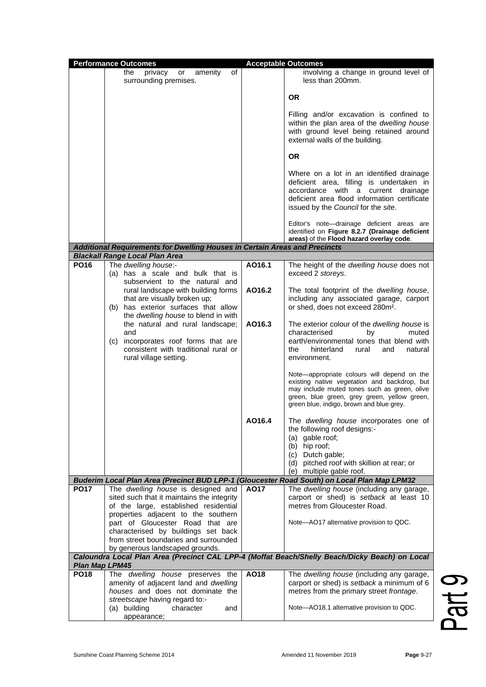|                       | <b>Performance Outcomes</b>                                                                                                                                                          |        | <b>Acceptable Outcomes</b>                                                                                                                                                                                                              |
|-----------------------|--------------------------------------------------------------------------------------------------------------------------------------------------------------------------------------|--------|-----------------------------------------------------------------------------------------------------------------------------------------------------------------------------------------------------------------------------------------|
|                       | amenity<br>of<br>the<br>privacy<br>or<br>surrounding premises.                                                                                                                       |        | involving a change in ground level of<br>less than 200mm.                                                                                                                                                                               |
|                       |                                                                                                                                                                                      |        | 0R                                                                                                                                                                                                                                      |
|                       |                                                                                                                                                                                      |        | Filling and/or excavation is confined to<br>within the plan area of the dwelling house<br>with ground level being retained around<br>external walls of the building.                                                                    |
|                       |                                                                                                                                                                                      |        | 0R                                                                                                                                                                                                                                      |
|                       |                                                                                                                                                                                      |        | Where on a lot in an identified drainage<br>deficient area, filling is undertaken in<br>accordance with a current drainage<br>deficient area flood information certificate<br>issued by the Council for the site.                       |
|                       |                                                                                                                                                                                      |        | Editor's note-drainage deficient areas are<br>identified on Figure 8.2.7 (Drainage deficient<br>areas) of the Flood hazard overlay code.                                                                                                |
|                       | Additional Requirements for Dwelling Houses in Certain Areas and Precincts                                                                                                           |        |                                                                                                                                                                                                                                         |
|                       | <b>Blackall Range Local Plan Area</b>                                                                                                                                                |        |                                                                                                                                                                                                                                         |
| <b>PO16</b>           | The dwelling house:-<br>(a) has a scale and bulk that is                                                                                                                             | AO16.1 | The height of the dwelling house does not<br>exceed 2 storeys.                                                                                                                                                                          |
|                       | subservient to the natural and<br>rural landscape with building forms<br>that are visually broken up;<br>(b) has exterior surfaces that allow<br>the dwelling house to blend in with | AO16.2 | The total footprint of the <i>dwelling house</i> ,<br>including any associated garage, carport<br>or shed, does not exceed 280m <sup>2</sup> .                                                                                          |
|                       | the natural and rural landscape;<br>and<br>(c) incorporates roof forms that are<br>consistent with traditional rural or<br>rural village setting.                                    | AO16.3 | The exterior colour of the dwelling house is<br>characterised<br>bv<br>muted<br>earth/environmental tones that blend with<br>hinterland<br>the<br>rural<br>and<br>natural<br>environment.                                               |
|                       |                                                                                                                                                                                      |        | Note-appropriate colours will depend on the<br>existing native vegetation and backdrop, but<br>may include muted tones such as green, olive<br>green, blue green, grey green, yellow green,<br>green blue, indigo, brown and blue grey. |
|                       |                                                                                                                                                                                      | AO16.4 | The dwelling house incorporates one of<br>the following roof designs:-<br>(a) gable roof;<br>(b) hip roof;<br>Dutch gable;<br>(c)<br>(d) pitched roof with skillion at rear; or<br>(e) multiple gable roof.                             |
|                       | Buderim Local Plan Area (Precinct BUD LPP-1 (Gloucester Road South) on Local Plan Map LPM32                                                                                          |        |                                                                                                                                                                                                                                         |
| <b>PO17</b>           | The dwelling house is designed and<br>sited such that it maintains the integrity<br>of the large, established residential<br>properties adjacent to the southern                     | A017   | The dwelling house (including any garage,<br>carport or shed) is setback at least 10<br>metres from Gloucester Road.                                                                                                                    |
|                       | part of Gloucester Road that are<br>characterised by buildings set back<br>from street boundaries and surrounded<br>by generous landscaped grounds.                                  |        | Note-AO17 alternative provision to QDC.                                                                                                                                                                                                 |
| <b>Plan Map LPM45</b> |                                                                                                                                                                                      |        | Caloundra Local Plan Area (Precinct CAL LPP-4 (Moffat Beach/Shelly Beach/Dicky Beach) on Local                                                                                                                                          |
| <b>PO18</b>           | The dwelling house preserves the                                                                                                                                                     | AO18   | The dwelling house (including any garage,                                                                                                                                                                                               |
|                       | amenity of adjacent land and dwelling<br>houses and does not dominate the                                                                                                            |        | carport or shed) is setback a minimum of 6<br>metres from the primary street frontage.                                                                                                                                                  |
|                       | streetscape having regard to:-<br>(a) building<br>character<br>and<br>appearance;                                                                                                    |        | Note-AO18.1 alternative provision to QDC.                                                                                                                                                                                               |

Part 9